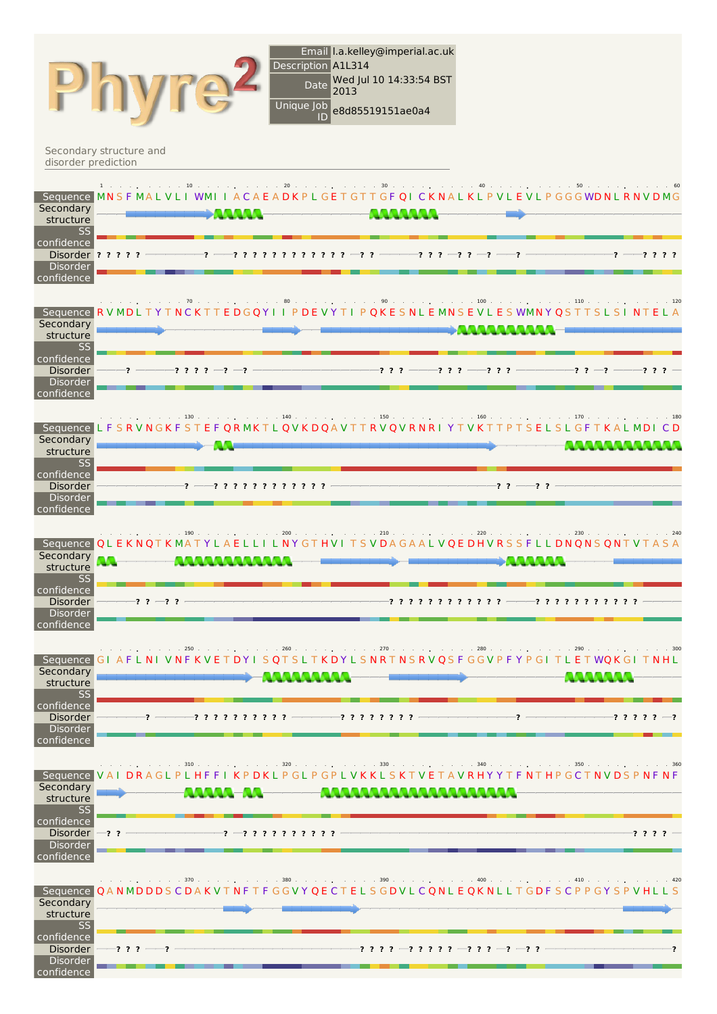